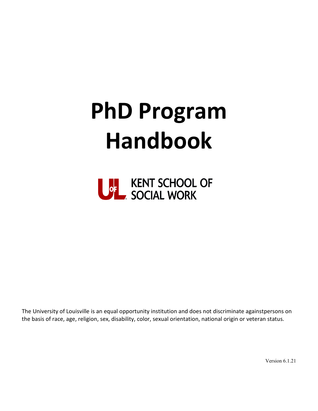# **PhD Program Handbook**



The University of Louisville is an equal opportunity institution and does not discriminate againstpersons on the basis of race, age, religion, sex, disability, color, sexual orientation, national origin or veteran status.

Version 6.1.21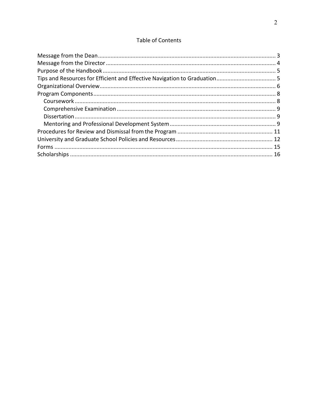## Table of Contents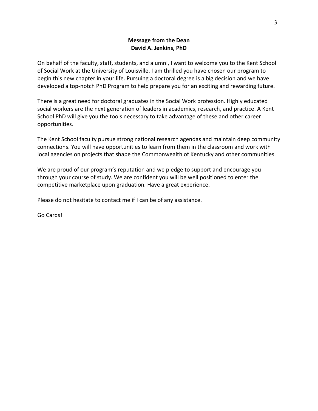## **Message from the Dean David A. Jenkins, PhD**

<span id="page-2-0"></span>On behalf of the faculty, staff, students, and alumni, I want to welcome you to the Kent School of Social Work at the University of Louisville. I am thrilled you have chosen our program to begin this new chapter in your life. Pursuing a doctoral degree is a big decision and we have developed a top-notch PhD Program to help prepare you for an exciting and rewarding future.

There is a great need for doctoral graduates in the Social Work profession. Highly educated social workers are the next generation of leaders in academics, research, and practice. A Kent School PhD will give you the tools necessary to take advantage of these and other career opportunities.

The Kent School faculty pursue strong national research agendas and maintain deep community connections. You will have opportunities to learn from them in the classroom and work with local agencies on projects that shape the Commonwealth of Kentucky and other communities.

We are proud of our program's reputation and we pledge to support and encourage you through your course of study. We are confident you will be well positioned to enter the competitive marketplace upon graduation. Have a great experience.

Please do not hesitate to contact me if I can be of any assistance.

Go Cards!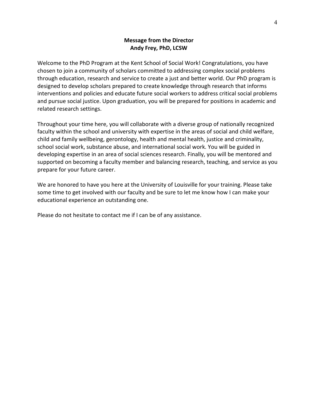## **Message from the Director Andy Frey, PhD, LCSW**

<span id="page-3-0"></span>Welcome to the PhD Program at the Kent School of Social Work! Congratulations, you have chosen to join a community of scholars committed to addressing complex social problems through education, research and service to create a just and better world. Our PhD program is designed to develop scholars prepared to create knowledge through research that informs interventions and policies and educate future social workers to address critical social problems and pursue social justice. Upon graduation, you will be prepared for positions in academic and related research settings.

Throughout your time here, you will collaborate with a diverse group of nationally recognized faculty within the school and university with expertise in the areas of social and child welfare, child and family wellbeing, gerontology, health and mental health, justice and criminality, school social work, substance abuse, and international social work. You will be guided in developing expertise in an area of social sciences research. Finally, you will be mentored and supported on becoming a faculty member and balancing research, teaching, and service as you prepare for your future career.

We are honored to have you here at the University of Louisville for your training. Please take some time to get involved with our faculty and be sure to let me know how I can make your educational experience an outstanding one.

Please do not hesitate to contact me if I can be of any assistance.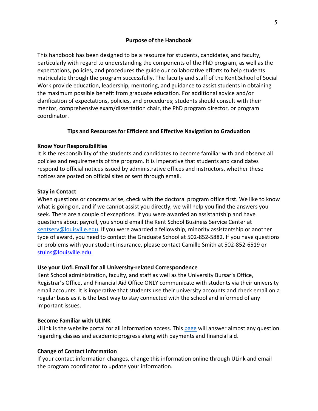#### **Purpose of the Handbook**

<span id="page-4-0"></span>This handbook has been designed to be a resource for students, candidates, and faculty, particularly with regard to understanding the components of the PhD program, as well as the expectations, policies, and procedures the guide our collaborative efforts to help students matriculate through the program successfully. The faculty and staff of the Kent School of Social Work provide education, leadership, mentoring, and guidance to assist students in obtaining the maximum possible benefit from graduate education. For additional advice and/or clarification of expectations, policies, and procedures; students should consult with their mentor, comprehensive exam/dissertation chair, the PhD program director, or program coordinator.

## **Tips and Resources for Efficient and Effective Navigation to Graduation**

## <span id="page-4-1"></span>**Know Your Responsibilities**

It is the responsibility of the students and candidates to become familiar with and observe all policies and requirements of the program. It is imperative that students and candidates respond to official notices issued by administrative offices and instructors, whether these notices are posted on official sites or sent through email.

#### **Stay in Contact**

When questions or concerns arise, check with the doctoral program office first. We like to know what is going on, and if we cannot assist you directly, we will help you find the answers you seek. There are a couple of exceptions. If you were awarded an assistantship and have questions about payroll, you should email the Kent School Business Service Center at [kentserv@louisville.edu.](mailto:kentserv@louisville.edu) If you were awarded a fellowship, minority assistantship or another type of award, you need to contact the Graduate School at 502-852-5882. If you have questions or problems with your student insurance, please contact Camille Smith at 502-852-6519 or [stuins@louisville.edu.](mailto:stuins@louisville.edu)

## **Use your UofL Email for all University-related Correspondence**

Kent School administration, faculty, and staff as well as the University Bursar's Office, Registrar's Office, and Financial Aid Office ONLY communicate with students via their university email accounts. It is imperative that students use their university accounts and check email on a regular basis as it is the best way to stay connected with the school and informed of any important issues.

#### **Become Familiar with ULINK**

ULink is the website portal for all information access. This [page](https://ulink.louisville.edu/psp/ps/EMPLOYEE/EMPL/h/?tab=PAPP_GUEST) will answer almost any question regarding classes and academic progress along with payments and financial aid.

#### **Change of Contact Information**

If your contact information changes, change this information online through ULink and email the program coordinator to update your information.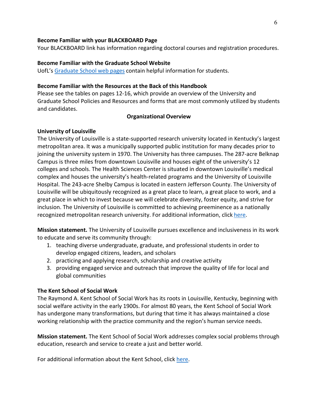#### **Become Familiar with your BLACKBOARD Page**

Your BLACKBOARD link has information regarding doctoral courses and registration procedures.

#### **Become Familiar with the Graduate School Website**

UofL's [Graduate](https://louisville.edu/graduate/futurestudents/orientation/essential-info-for-new-graduate-students) School web pages contain helpful information for students.

#### **Become Familiar with the Resources at the Back of this Handbook**

Please see the tables on pages 12-16, which provide an overview of the University and Graduate School Policies and Resources and forms that are most commonly utilized by students and candidates.

#### <span id="page-5-0"></span>**Organizational Overview**

#### **University of Louisville**

The University of Louisville is a state-supported research university located in Kentucky's largest metropolitan area. It was a municipally supported public institution for many decades prior to joining the university system in 1970. The University has three campuses. The 287-acre Belknap Campus is three miles from downtown Louisville and houses eight of the university's 12 colleges and schools. The Health Sciences Center is situated in downtown Louisville's medical complex and houses the university's health-related programs and the University of Louisville Hospital. The 243-acre Shelby Campus is located in eastern Jefferson County. The University of Louisville will be ubiquitously recognized as a great place to learn, a great place to work, and a great place in which to invest because we will celebrate diversity, foster equity, and strive for inclusion. The University of Louisville is committed to achieving preeminence as a nationally recognized metropolitan research university. For additional information, click [here.](https://louisville.edu/about)

**Mission statement.** The University of Louisville pursues excellence and inclusiveness in its work to educate and serve its community through:

- 1. teaching diverse undergraduate, graduate, and professional students in order to develop engaged citizens, leaders, and scholars
- 2. practicing and applying research, scholarship and creative activity
- 3. providing engaged service and outreach that improve the quality of life for local and global communities

## **The Kent School of Social Work**

The Raymond A. Kent School of Social Work has its roots in Louisville, Kentucky, beginning with social welfare activity in the early 1900s. For almost 80 years, the Kent School of Social Work has undergone many transformations, but during that time it has always maintained a close working relationship with the practice community and the region's human service needs.

**Mission statement.** The Kent School of Social Work addresses complex social problems through education, research and service to create a just and better world.

For additional information about the Kent School, click [here.](https://louisville.edu/kent/)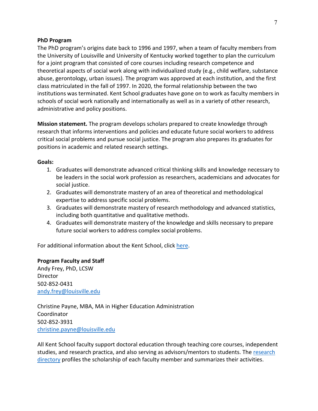#### **PhD Program**

The PhD program's origins date back to 1996 and 1997, when a team of faculty members from the University of Louisville and University of Kentucky worked together to plan the curriculum for a joint program that consisted of core courses including research competence and theoretical aspects of social work along with individualized study (e.g., child welfare, substance abuse, gerontology, urban issues). The program was approved at each institution, and the first class matriculated in the fall of 1997. In 2020, the formal relationship between the two institutions was terminated. Kent School graduates have gone on to work as faculty members in schools of social work nationally and internationally as well as in a variety of other research, administrative and policy positions.

**Mission statement.** The program develops scholars prepared to create knowledge through research that informs interventions and policies and educate future social workers to address critical social problems and pursue social justice. The program also prepares its graduates for positions in academic and related research settings.

## **Goals:**

- 1. Graduates will demonstrate advanced critical thinking skills and knowledge necessary to be leaders in the social work profession as researchers, academicians and advocates for social justice.
- 2. Graduates will demonstrate mastery of an area of theoretical and methodological expertise to address specific social problems.
- 3. Graduates will demonstrate mastery of research methodology and advanced statistics, including both quantitative and qualitative methods.
- 4. Graduates will demonstrate mastery of the knowledge and skills necessary to prepare future social workers to address complex social problems.

For additional information about the Kent School, click [here.](http://louisville.edu/kent/academics/doctor-of-philosophy-in-social-work)

## **Program Faculty and Staff**

Andy Frey, PhD, LCSW Director 502-852-0431 [andy.frey@louisville.edu](mailto:andy.frey@louisville.edu)

Christine Payne, MBA, MA in Higher Education Administration Coordinator 502-852-3931 [christine.payne@louisville.edu](mailto:christine.payne@louisville.edu)

All Kent School faculty support doctoral education through teaching core courses, independent studies, and research practica, and also serving as advisors/mentors to students. Th[e research](https://midd.me/wpIj) [directory](https://midd.me/wpIj) profiles the scholarship of each faculty member and summarizes their activities.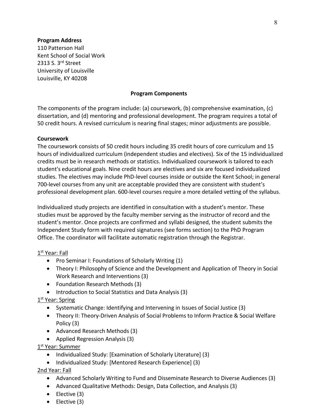#### **Program Address**

110 Patterson Hall Kent School of Social Work 2313 S. 3rd Street University of Louisville Louisville, KY 40208

#### **Program Components**

<span id="page-7-0"></span>The components of the program include: (a) coursework, (b) comprehensive examination, (c) dissertation, and (d) mentoring and professional development. The program requires a total of 50 credit hours. A revised curriculum is nearing final stages; minor adjustments are possible.

#### <span id="page-7-1"></span>**Coursework**

The coursework consists of 50 credit hours including 35 credit hours of core curriculum and 15 hours of individualized curriculum (independent studies and electives). Six of the 15 individualized credits must be in research methods or statistics. Individualized coursework is tailored to each student's educational goals. Nine credit hours are electives and six are focused individualized studies. The electives may include PhD-level courses inside or outside the Kent School; in general 700-level courses from any unit are acceptable provided they are consistent with student's professional development plan. 600-level courses require a more detailed vetting of the syllabus.

Individualized study projects are identified in consultation with a student's mentor. These studies must be approved by the faculty member serving as the instructor of record and the student's mentor. Once projects are confirmed and syllabi designed, the student submits the Independent Study form with required signatures (see forms section) to the PhD Program Office. The coordinator will facilitate automatic registration through the Registrar.

## 1st Year: Fall

- Pro Seminar I: Foundations of Scholarly Writing (1)
- Theory I: Philosophy of Science and the Development and Application of Theory in Social Work Research and Interventions (3)
- Foundation Research Methods (3)
- Introduction to Social Statistics and Data Analysis (3)

## 1<sup>st</sup> Year: Spring

- Systematic Change: Identifying and Intervening in Issues of Social Justice (3)
- Theory II: Theory-Driven Analysis of Social Problems to Inform Practice & Social Welfare Policy (3)
- Advanced Research Methods (3)
- Applied Regression Analysis (3)

## 1<sup>st</sup> Year: Summer

- Individualized Study: [Examination of Scholarly Literature] (3)
- Individualized Study: [Mentored Research Experience] (3)

## 2nd Year: Fall

- Advanced Scholarly Writing to Fund and Disseminate Research to Diverse Audiences (3)
- Advanced Qualitative Methods: Design, Data Collection, and Analysis (3)
- Elective (3)
- Elective (3)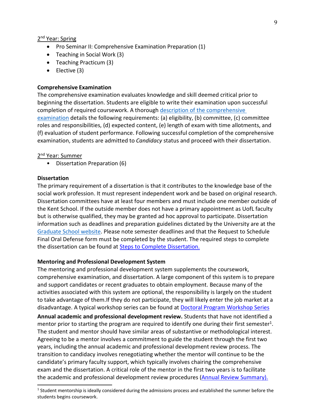#### 2<sup>nd</sup> Year: Spring

- Pro Seminar II: Comprehensive Examination Preparation (1)
- Teaching in Social Work (3)
- Teaching Practicum (3)
- Elective (3)

#### <span id="page-8-0"></span>**Comprehensive Examination**

The comprehensive examination evaluates knowledge and skill deemed critical prior to beginning the dissertation. Students are eligible to write their examination upon successful completion of required coursework. A thorough [description of](http://louisville.edu/kent/academics/phd-handbook/comprehensive-exam/view) [the comprehensive](http://louisville.edu/kent/academics/phd-handbook/comprehensive-exam/view)  [examination](http://louisville.edu/kent/academics/phd-handbook/comprehensive-exam/view) details the following requirements: (a) eligibility, (b) committee, (c) committee roles and responsibilities, (d) expected content, (e) length of exam with time allotments, and (f) evaluation of student performance. Following successful completion of the comprehensive examination, students are admitted to *Candidacy* status and proceed with their dissertation.

#### 2<sup>nd</sup> Year: Summer

• Dissertation Preparation (6)

#### <span id="page-8-1"></span>**Dissertation**

The primary requirement of a dissertation is that it contributes to the knowledge base of the social work profession. It must represent independent work and be based on original research. Dissertation committees have at least four members and must include one member outside of the Kent School. If the outside member does not have a primary appointment as UofL faculty but is otherwise qualified, they may be granted ad hoc approval to participate. Dissertation information such as deadlines and preparation guidelines dictated by the University are at the [Graduate School website.](https://louisville.edu/graduate/current-students/thesis-dissertation-information) Please note semester deadlines and that the Request to Schedule Final Oral Defense form must be completed by the student. The required steps to complete the dissertation can be found at **Steps to Complete Dissertation**.

#### <span id="page-8-2"></span>**Mentoring and Professional Development System**

The mentoring and professional development system supplements the coursework, comprehensive examination, and dissertation. A large component of this system is to prepare and support candidates or recent graduates to obtain employment. Because many of the activities associated with this system are optional, the responsibility is largely on the student to take advantage of them.If they do not participate, they will likely enter the job market at a disadvantage. A typical workshop series can be found at [Doctoral Program Workshop Series](https://louisville.edu/kent/academics/phd-handbook/spring-2021-doctoral-program-workshop-series/view)

**Annual academic and professional development review.** Students that have not identified a mentor prior to starting the program are required to identify one during their first semester<sup>1</sup>. The student and mentor should have similar areas of substantive or methodological interest. Agreeing to be a mentor involves a commitment to guide the student through the first two years, including the annual academic and professional development review process. The transition to candidacy involves renegotiating whether the mentor will continue to be the candidate's primary faculty support, which typically involves chairing the comprehensive exam and the dissertation. A critical role of the mentor in the first two years is to facilitate the academic and professional development review procedures [\(Annual Review Summary\)](https://louisville.edu/kent/academics/phd-handbook/annual-review-summary-fall-2021/view).

<span id="page-8-3"></span><sup>1</sup> Student mentorship is ideally considered during the admissions process and established the summer before the students begins coursework.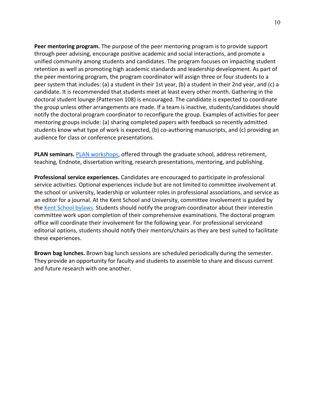**Peer mentoring program.** The purpose of the peer mentoring program is to provide support through peer advising, encourage positive academic and social interactions, and promote a unified community among students and candidates. The program focuses on impacting student retention as well as promoting high academic standards and leadership development. As part of the peer mentoring program, the program coordinator will assign three or four students to a peer system that includes: (a) a student in their 1st year, (b) a student in their 2nd year, and (c) a candidate. It is recommended that students meet at least every other month. Gathering in the doctoral student lounge (Patterson 108) is encouraged. The candidate is expected to coordinate the group unless other arrangements are made. If a team is inactive, students/candidates should notify the doctoral program coordinator to reconfigure the group. Examples of activities for peer mentoring groups include: (a) sharing completed papers with feedback so recently admitted students know what type of work is expected, (b) co-authoring manuscripts, and (c) providing an audience for class or conference presentations.

**PLAN seminars.** [PLAN workshops,](http://louisville.edu/graduate/plan/) offered through the graduate school, address retirement, teaching, Endnote, dissertation writing, research presentations, mentoring, and publishing.

**Professional service experiences.** Candidates are encouraged to participate in professional service activities. Optional experiences include but are not limited to committee involvement at the school or university, leadership or volunteer roles in professional associations, and service as an editor for a journal. At the Kent School and University, committee involvement is guided by the [Kent School bylaws. S](https://louisville.edu/provost/faculty-personnel/unit/Kent_Bylaws.pdf)tudents should notify the program coordinator about their interestin committee work upon completion of their comprehensive examinations. The doctoral program office will coordinate their involvement for the following year. For professional serviceand editorial options, students should notify their mentors/chairs as they are best suited to facilitate these experiences.

**Brown bag lunches.** Brown bag lunch sessions are scheduled periodically during the semester. They provide an opportunity for faculty and students to assemble to share and discuss current and future research with one another.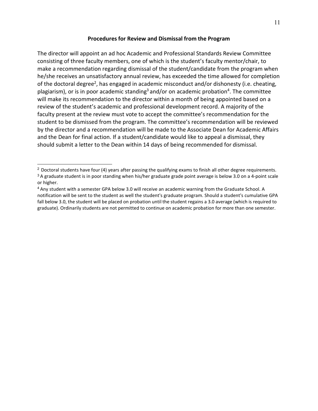#### <span id="page-10-2"></span>**Procedures for Review and Dismissal from the Program**

<span id="page-10-0"></span>The director will appoint an ad hoc Academic and Professional Standards Review Committee consisting of three faculty members, one of which is the student's faculty mentor/chair, to make a recommendation regarding dismissal of the student/candidate from the program when he/she receives an unsatisfactory annual review, has exceeded the time allowed for completion of the doctoral degre[e2,](#page-10-1) has engaged in academic misconduct and/or dishonesty (i.e. cheating, plagiarism), or is in poor academic standing<sup>3</sup> and/or on academic probation<sup>4</sup>. The committee will make its recommendation to the director within a month of being appointed based on a review of the student's academic and professional development record. A majority of the faculty present at the review must vote to accept the committee's recommendation for the student to be dismissed from the program. The committee's recommendation will be reviewed by the director and a recommendation will be made to the Associate Dean for Academic Affairs and the Dean for final action. If a student/candidate would like to appeal a dismissal, they should submit a letter to the Dean within 14 days of being recommended for dismissal.

<span id="page-10-1"></span> $2$  Doctoral students have four (4) years after passing the qualifying exams to finish all other degree requirements. <sup>3</sup> A graduate student is in poor standing when his/her graduate grade point average is below 3.0 on a 4-point scale or higher.

<span id="page-10-3"></span><sup>4</sup>Any student with a semester GPA below 3.0 will receive an academic warning from the Graduate School. A notification will be sent to the student as well the student's graduate program. Should a student's cumulative GPA fall below 3.0, the student will be placed on probation until the student regains a 3.0 average (which is required to graduate). Ordinarily students are not permitted to continue on academic probation for more than one semester.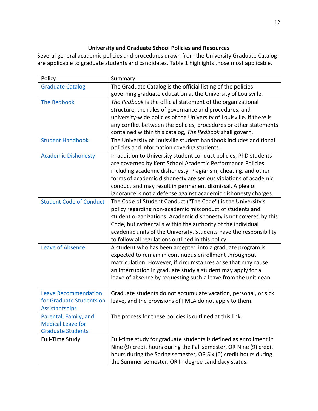# **University and Graduate School Policies and Resources**

<span id="page-11-0"></span>Several general academic policies and procedures drawn from the University Graduate Catalog are applicable to graduate students and candidates. Table 1 highlights those most applicable.

| Policy                         | Summary                                                                                                                        |  |  |
|--------------------------------|--------------------------------------------------------------------------------------------------------------------------------|--|--|
| <b>Graduate Catalog</b>        | The Graduate Catalog is the official listing of the policies<br>governing graduate education at the University of Louisville.  |  |  |
| <b>The Redbook</b>             | The Redbook is the official statement of the organizational                                                                    |  |  |
|                                | structure, the rules of governance and procedures, and                                                                         |  |  |
|                                | university-wide policies of the University of Louisville. If there is                                                          |  |  |
|                                | any conflict between the policies, procedures or other statements<br>contained within this catalog, The Redbook shall govern.  |  |  |
| <b>Student Handbook</b>        | The University of Louisville student handbook includes additional<br>policies and information covering students.               |  |  |
| <b>Academic Dishonesty</b>     | In addition to University student conduct policies, PhD students                                                               |  |  |
|                                | are governed by Kent School Academic Performance Policies                                                                      |  |  |
|                                | including academic dishonesty. Plagiarism, cheating, and other                                                                 |  |  |
|                                | forms of academic dishonesty are serious violations of academic                                                                |  |  |
|                                | conduct and may result in permanent dismissal. A plea of                                                                       |  |  |
|                                | ignorance is not a defense against academic dishonesty charges.                                                                |  |  |
| <b>Student Code of Conduct</b> | The Code of Student Conduct ("The Code") is the University's                                                                   |  |  |
|                                | policy regarding non-academic misconduct of students and                                                                       |  |  |
|                                | student organizations. Academic dishonesty is not covered by this                                                              |  |  |
|                                | Code, but rather falls within the authority of the individual                                                                  |  |  |
|                                | academic units of the University. Students have the responsibility                                                             |  |  |
|                                | to follow all regulations outlined in this policy.                                                                             |  |  |
| Leave of Absence               | A student who has been accepted into a graduate program is                                                                     |  |  |
|                                | expected to remain in continuous enrollment throughout                                                                         |  |  |
|                                | matriculation. However, if circumstances arise that may cause                                                                  |  |  |
|                                | an interruption in graduate study a student may apply for a<br>leave of absence by requesting such a leave from the unit dean. |  |  |
|                                |                                                                                                                                |  |  |
| <b>Leave Recommendation</b>    | Graduate students do not accumulate vacation, personal, or sick                                                                |  |  |
| for Graduate Students on       | leave, and the provisions of FMLA do not apply to them.                                                                        |  |  |
| <b>Assistantships</b>          |                                                                                                                                |  |  |
| Parental, Family, and          | The process for these policies is outlined at this link.                                                                       |  |  |
| <b>Medical Leave for</b>       |                                                                                                                                |  |  |
| <b>Graduate Students</b>       |                                                                                                                                |  |  |
| Full-Time Study                | Full-time study for graduate students is defined as enrollment in                                                              |  |  |
|                                | Nine (9) credit hours during the Fall semester, OR Nine (9) credit                                                             |  |  |
|                                | hours during the Spring semester, OR Six (6) credit hours during                                                               |  |  |
|                                | the Summer semester, OR In degree candidacy status.                                                                            |  |  |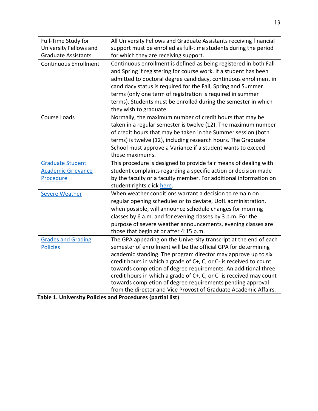| Full-Time Study for<br>University Fellows and<br><b>Graduate Assistants</b> | All University Fellows and Graduate Assistants receiving financial<br>support must be enrolled as full-time students during the period<br>for which they are receiving support.                                                                                                                                                                                                                                                                                                                                                                        |
|-----------------------------------------------------------------------------|--------------------------------------------------------------------------------------------------------------------------------------------------------------------------------------------------------------------------------------------------------------------------------------------------------------------------------------------------------------------------------------------------------------------------------------------------------------------------------------------------------------------------------------------------------|
| <b>Continuous Enrollment</b>                                                | Continuous enrollment is defined as being registered in both Fall<br>and Spring if registering for course work. If a student has been<br>admitted to doctoral degree candidacy, continuous enrollment in<br>candidacy status is required for the Fall, Spring and Summer<br>terms (only one term of registration is required in summer<br>terms). Students must be enrolled during the semester in which<br>they wish to graduate.                                                                                                                     |
| Course Loads                                                                | Normally, the maximum number of credit hours that may be<br>taken in a regular semester is twelve (12). The maximum number<br>of credit hours that may be taken in the Summer session (both<br>terms) is twelve (12), including research hours. The Graduate<br>School must approve a Variance if a student wants to exceed<br>these maximums.                                                                                                                                                                                                         |
| Graduate Student<br><b>Academic Grievance</b><br>Procedure                  | This procedure is designed to provide fair means of dealing with<br>student complaints regarding a specific action or decision made<br>by the faculty or a faculty member. For additional information on<br>student rights click here.                                                                                                                                                                                                                                                                                                                 |
| <b>Severe Weather</b>                                                       | When weather conditions warrant a decision to remain on<br>regular opening schedules or to deviate, UofL administration,<br>when possible, will announce schedule changes for morning<br>classes by 6 a.m. and for evening classes by 3 p.m. For the<br>purpose of severe weather announcements, evening classes are<br>those that begin at or after 4:15 p.m.                                                                                                                                                                                         |
| <b>Grades and Grading</b><br><b>Policies</b>                                | The GPA appearing on the University transcript at the end of each<br>semester of enrollment will be the official GPA for determining<br>academic standing. The program director may approve up to six<br>credit hours in which a grade of C+, C, or C- is received to count<br>towards completion of degree requirements. An additional three<br>credit hours in which a grade of C+, C, or C- is received may count<br>towards completion of degree requirements pending approval<br>from the director and Vice Provost of Graduate Academic Affairs. |

| Table 1. University Policies and Procedures (partial list) |  |
|------------------------------------------------------------|--|
|------------------------------------------------------------|--|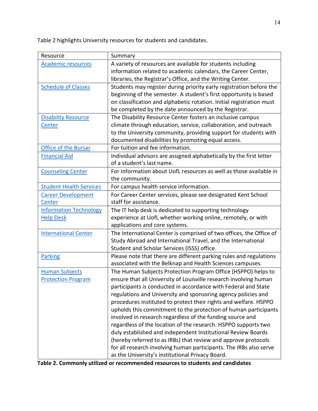Table 2 highlights University resources for students and candidates.

| Resource                       | Summary                                                              |
|--------------------------------|----------------------------------------------------------------------|
| <b>Academic resources</b>      | A variety of resources are available for students including          |
|                                | information related to academic calendars, the Career Center,        |
|                                | libraries, the Registrar's Office, and the Writing Center.           |
| <b>Schedule of Classes</b>     | Students may register during priority early registration before the  |
|                                | beginning of the semester. A student's first opportunity is based    |
|                                | on classification and alphabetic rotation. Initial registration must |
|                                | be completed by the date announced by the Registrar.                 |
| <b>Disability Resource</b>     | The Disability Resource Center fosters an inclusive campus           |
| Center                         | climate through education, service, collaboration, and outreach      |
|                                | to the University community, providing support for students with     |
|                                | documented disabilities by promoting equal access.                   |
| <b>Office of the Bursar</b>    | For tuition and fee information.                                     |
| <b>Financial Aid</b>           | Individual advisors are assigned alphabetically by the first letter  |
|                                | of a student's last name.                                            |
| <b>Counseling Center</b>       | For information about UofL resources as well as those available in   |
|                                | the community.                                                       |
| <b>Student Health Services</b> | For campus health service information.                               |
| <b>Career Development</b>      | For Career Center services, please see designated Kent School        |
| Center                         | staff for assistance.                                                |
| <b>Information Technology</b>  | The IT help desk is dedicated to supporting technology               |
| <b>Help Desk</b>               | experience at UofL whether working online, remotely, or with         |
|                                | applications and core systems.                                       |
| <b>International Center</b>    | The International Center is comprised of two offices, the Office of  |
|                                | Study Abroad and International Travel, and the International         |
|                                | Student and Scholar Services (ISSS) office.                          |
| <b>Parking</b>                 | Please note that there are different parking rules and regulations   |
|                                | associated with the Belknap and Health Sciences campuses.            |
| <b>Human Subjects</b>          | The Human Subjects Protection Program Office (HSPPO) helps to        |
| <b>Protection Program</b>      | ensure that all University of Louisville research involving human    |
|                                | participants is conducted in accordance with Federal and State       |
|                                | regulations and University and sponsoring agency policies and        |
|                                | procedures instituted to protect their rights and welfare. HSPPO     |
|                                | upholds this commitment to the protection of human participants      |
|                                | involved in research regardless of the funding source and            |
|                                | regardless of the location of the research. HSPPO supports two       |
|                                | duly established and independent Institutional Review Boards         |
|                                | (hereby referred to as IRBs) that review and approve protocols       |
|                                | for all research involving human participants. The IRBs also serve   |
|                                | as the University's institutional Privacy Board.                     |

| Table 2. Commonly utilized or recommended resources to students and candidates |  |
|--------------------------------------------------------------------------------|--|
|--------------------------------------------------------------------------------|--|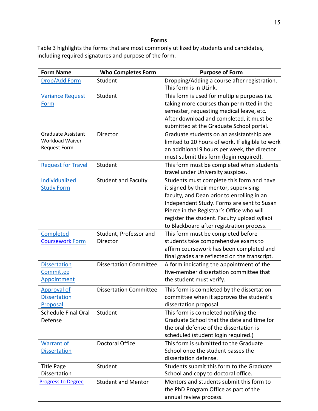#### **Forms**

<span id="page-14-0"></span>Table 3 highlights the forms that are most commonly utilized by students and candidates, including required signatures and purpose of the form.

| <b>Form Name</b>                                                           | <b>Who Completes Form</b>          | <b>Purpose of Form</b>                                                                                                                                                                                                                                                                                                    |
|----------------------------------------------------------------------------|------------------------------------|---------------------------------------------------------------------------------------------------------------------------------------------------------------------------------------------------------------------------------------------------------------------------------------------------------------------------|
| Drop/Add Form                                                              | Student                            | Dropping/Adding a course after registration.<br>This form is in ULink.                                                                                                                                                                                                                                                    |
| <b>Variance Request</b><br>Form                                            | Student                            | This form is used for multiple purposes i.e.<br>taking more courses than permitted in the<br>semester, requesting medical leave, etc.<br>After download and completed, it must be<br>submitted at the Graduate School portal.                                                                                             |
| <b>Graduate Assistant</b><br><b>Workload Waiver</b><br><b>Request Form</b> | Director                           | Graduate students on an assistantship are<br>limited to 20 hours of work. If eligible to work<br>an additional 9 hours per week, the director<br>must submit this form (login required).                                                                                                                                  |
| <b>Request for Travel</b>                                                  | Student                            | This form must be completed when students<br>travel under University auspices.                                                                                                                                                                                                                                            |
| Individualized<br><b>Study Form</b>                                        | <b>Student and Faculty</b>         | Students must complete this form and have<br>it signed by their mentor, supervising<br>faculty, and Dean prior to enrolling in an<br>Independent Study. Forms are sent to Susan<br>Pierce in the Registrar's Office who will<br>register the student. Faculty upload syllabi<br>to Blackboard after registration process. |
| Completed<br><b>Coursework Form</b>                                        | Student, Professor and<br>Director | This form must be completed before<br>students take comprehensive exams to<br>affirm coursework has been completed and<br>final grades are reflected on the transcript.                                                                                                                                                   |
| <b>Dissertation</b><br>Committee<br>Appointment                            | <b>Dissertation Committee</b>      | A form indicating the appointment of the<br>five-member dissertation committee that<br>the student must verify.                                                                                                                                                                                                           |
| Approval of<br><b>Dissertation</b><br>Proposal                             | <b>Dissertation Committee</b>      | This form is completed by the dissertation<br>committee when it approves the student's<br>dissertation proposal.                                                                                                                                                                                                          |
| <b>Schedule Final Oral</b><br>Defense                                      | Student                            | This form is completed notifying the<br>Graduate School that the date and time for<br>the oral defense of the dissertation is<br>scheduled (student login required.)                                                                                                                                                      |
| <b>Warrant of</b><br><b>Dissertation</b>                                   | Doctoral Office                    | This form is submitted to the Graduate<br>School once the student passes the<br>dissertation defense.                                                                                                                                                                                                                     |
| <b>Title Page</b><br>Dissertation                                          | Student                            | Students submit this form to the Graduate<br>School and copy to doctoral office.                                                                                                                                                                                                                                          |
| <b>Progress to Degree</b>                                                  | <b>Student and Mentor</b>          | Mentors and students submit this form to<br>the PhD Program Office as part of the<br>annual review process.                                                                                                                                                                                                               |